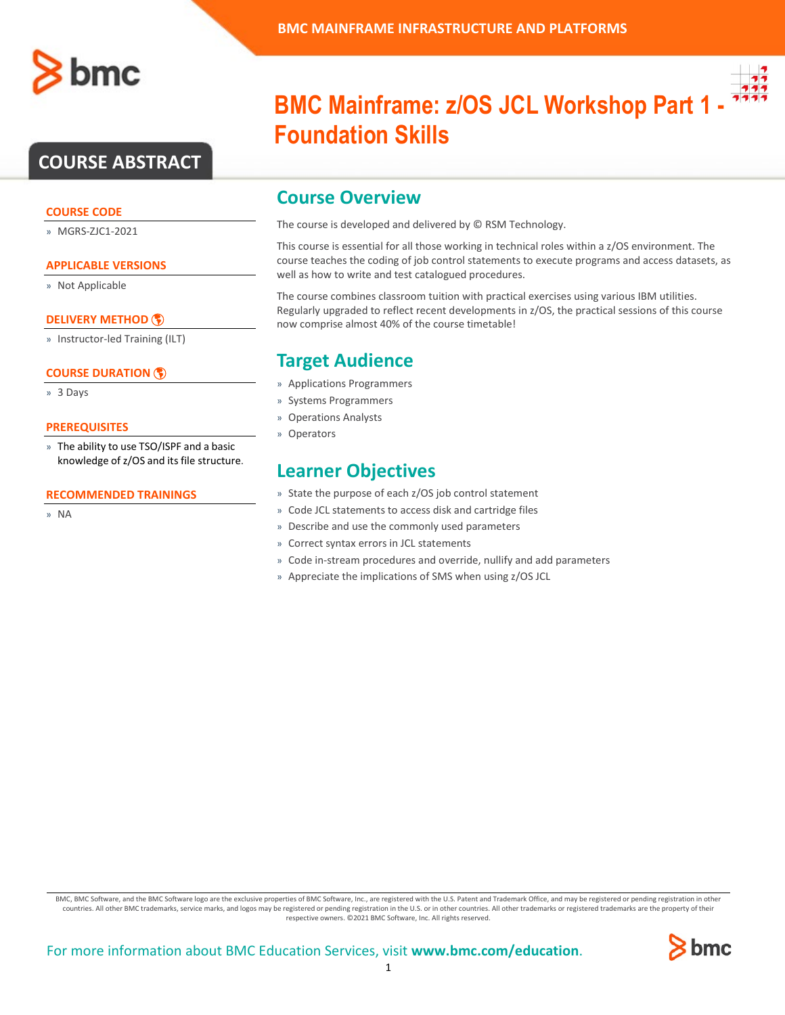

### **COURSE ABSTRACT**

### **COURSE CODE**

» MGRS-ZJC1-2021

### **APPLICABLE VERSIONS**

» Not Applicable

### **[DELIVERY METHOD](http://www.bmc.com/education/modality.html)**

» Instructor-led Training (ILT)

### **[COURSE DURATION](http://www.bmc.com/education/learning-paths/education-filters-learning-paths.html)**

» 3 Days

### **PREREQUISITES**

» The ability to use TSO/ISPF and a basic knowledge of z/OS and its file structure.

#### **RECOMMENDED TRAININGS**

» NA

## **BMC Mainframe: z/OS JCL Workshop Part 1 - Foundation Skills**

### **Course Overview**

The course is developed and delivered by © RSM Technology.

This course is essential for all those working in technical roles within a z/OS environment. The course teaches the coding of job control statements to execute programs and access datasets, as well as how to write and test catalogued procedures.

The course combines classroom tuition with practical exercises using various IBM utilities. Regularly upgraded to reflect recent developments in z/OS, the practical sessions of this course now comprise almost 40% of the course timetable!

### **Target Audience**

- » Applications Programmers
- » Systems Programmers
- » Operations Analysts
- » Operators

### **Learner Objectives**

- » State the purpose of each z/OS job control statement
- » Code JCL statements to access disk and cartridge files
- » Describe and use the commonly used parameters
- » Correct syntax errors in JCL statements
- » Code in-stream procedures and override, nullify and add parameters
- » Appreciate the implications of SMS when using z/OS JCL

BMC, BMC Software, and the BMC Software logo are the exclusive properties of BMC Software, Inc., are registered with the U.S. Patent and Trademark Office, and may be registered or pending registration in other countries. All other BMC trademarks, service marks, and logos may be registered or pending registration in the U.S. or in other countries. All other trademarks or registered trademarks are the property of their respective owners. ©2021 BMC Software, Inc. All rights reserved.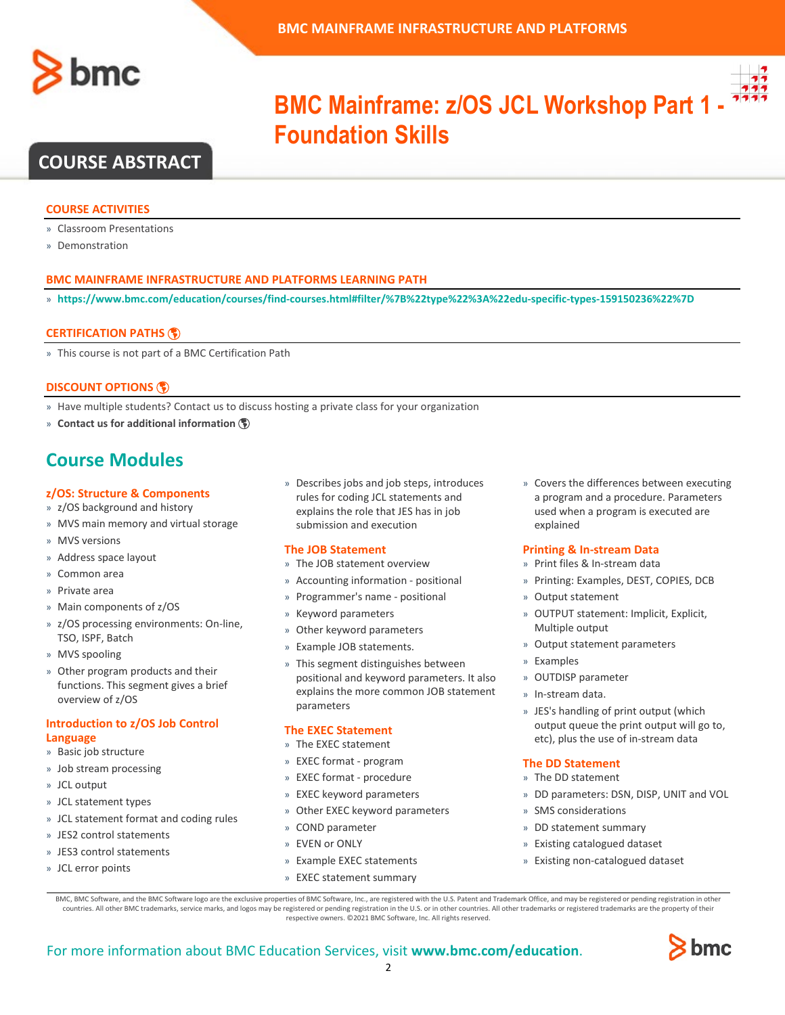



## **BMC Mainframe: z/OS JCL Workshop Part 1 - 7777 Foundation Skills**

### **COURSE ABSTRACT**

### **COURSE ACTIVITIES**

- » Classroom Presentations
- » Demonstration

### **BMC MAINFRAME INFRASTRUCTURE AND PLATFORMS LEARNING PATH**

» **<https://www.bmc.com/education/courses/find-courses.html#filter/%7B%22type%22%3A%22edu-specific-types-159150236%22%7D>**

### **[CERTIFICATION PATHS](http://www.bmc.com/education/certification-programs)**

» This course is not part of a BMC Certification Path

### **[DISCOUNT OPTIONS](http://www.bmc.com/education/customer-service/customer-service.html)**

- » Have multiple students? Contact us to discuss hosting a private class for your organization
- » **[Contact us for additional information](http://www.bmc.com/education)**

### **Course Modules**

#### **z/OS: Structure & Components**

- » z/OS background and history
- » MVS main memory and virtual storage
- » MVS versions
- » Address space layout
- » Common area
- » Private area
- » Main components of z/OS
- » z/OS processing environments: On-line, TSO, ISPF, Batch
- » MVS spooling
- » Other program products and their functions. This segment gives a brief overview of z/OS

### **Introduction to z/OS Job Control Language**

- » Basic job structure
- » Job stream processing
- » JCL output
- » JCL statement types
- » JCL statement format and coding rules
- » JES2 control statements
- » JES3 control statements
- » JCL error points

» Describes jobs and job steps, introduces rules for coding JCL statements and explains the role that JES has in job submission and execution

### **The JOB Statement**

- » The JOB statement overview
- » Accounting information positional
- » Programmer's name positional
- » Keyword parameters
- » Other keyword parameters
- » Example JOB statements.
- » This segment distinguishes between positional and keyword parameters. It also explains the more common JOB statement parameters

#### **The EXEC Statement**

- » The EXEC statement
- » EXEC format program
- » EXEC format procedure
- » EXEC keyword parameters
- » Other EXEC keyword parameters
- » COND parameter
- » EVEN or ONLY
- » Example EXEC statements
- » EXEC statement summary

» Covers the differences between executing a program and a procedure. Parameters used when a program is executed are explained

### **Printing & In-stream Data**

- » Print files & In-stream data
- » Printing: Examples, DEST, COPIES, DCB
- » Output statement
- » OUTPUT statement: Implicit, Explicit, Multiple output
- » Output statement parameters
- » Examples
- » OUTDISP parameter
- » In-stream data.
- » JES's handling of print output (which output queue the print output will go to, etc), plus the use of in-stream data

#### **The DD Statement**

- » The DD statement
- » DD parameters: DSN, DISP, UNIT and VOL
- » SMS considerations
- » DD statement summary
- » Existing catalogued dataset
- » Existing non-catalogued dataset

BMC, BMC Software, and the BMC Software logo are the exclusive properties of BMC Software, Inc., are registered with the U.S. Patent and Trademark Office, and may be registered or pending registration in other countries. All other BMC trademarks, service marks, and logos may be registered or pending registration in the U.S. or in other countries. All other trademarks or registered trademarks are the property of their respective owners. ©2021 BMC Software, Inc. All rights reserved.

 $\mathfrak{Z}$